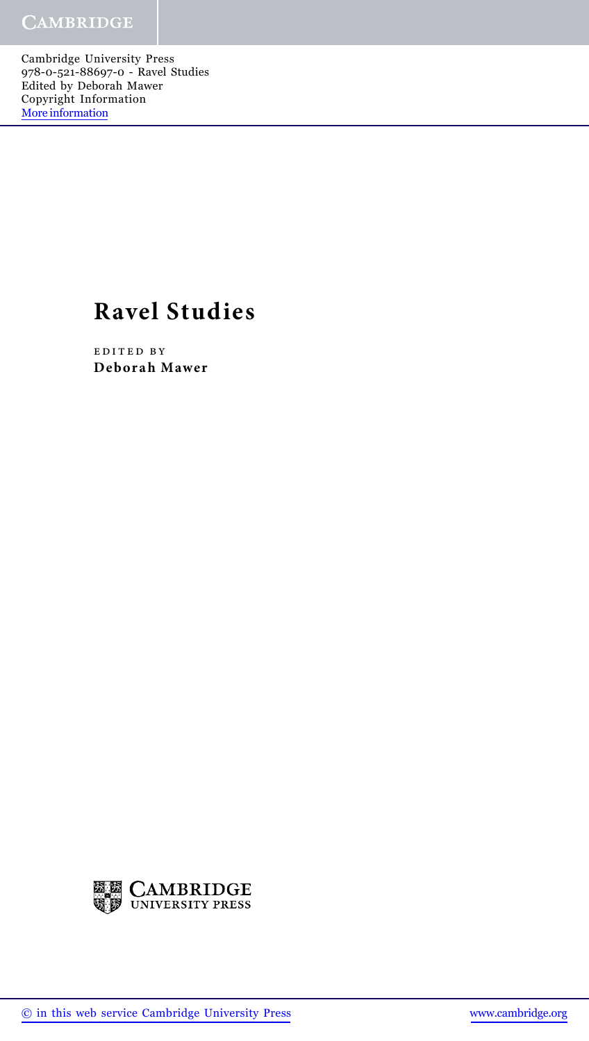Cambridge University Press 978-0-521-88697-0 - Ravel Studies Edited by Deborah Mawer Copyright Information [More information](http://www.cambridge.org/9780521886970)

## **Ravel Studies**

edited by **Deborah Mawer**